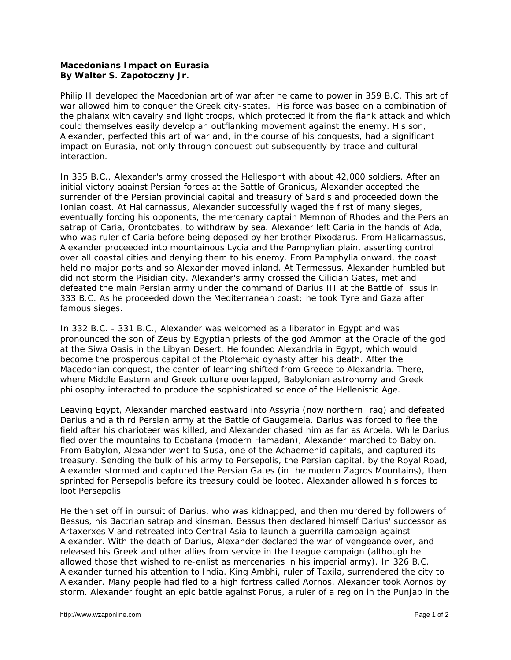## **Macedonians Impact on Eurasia By Walter S. Zapotoczny Jr.**

Philip II developed the Macedonian art of war after he came to power in 359 B.C. This art of war allowed him to conquer the Greek city-states. His force was based on a combination of the phalanx with cavalry and light troops, which protected it from the flank attack and which could themselves easily develop an outflanking movement against the enemy. His son, Alexander, perfected this art of war and, in the course of his conquests, had a significant impact on Eurasia, not only through conquest but subsequently by trade and cultural interaction.

In 335 B.C., Alexander's army crossed the Hellespont with about 42,000 soldiers. After an initial victory against Persian forces at the Battle of Granicus, Alexander accepted the surrender of the Persian provincial capital and treasury of Sardis and proceeded down the Ionian coast. At Halicarnassus, Alexander successfully waged the first of many sieges, eventually forcing his opponents, the mercenary captain Memnon of Rhodes and the Persian satrap of Caria, Orontobates, to withdraw by sea. Alexander left Caria in the hands of Ada, who was ruler of Caria before being deposed by her brother Pixodarus. From Halicarnassus, Alexander proceeded into mountainous Lycia and the Pamphylian plain, asserting control over all coastal cities and denying them to his enemy. From Pamphylia onward, the coast held no major ports and so Alexander moved inland. At Termessus, Alexander humbled but did not storm the Pisidian city. Alexander's army crossed the Cilician Gates, met and defeated the main Persian army under the command of Darius III at the Battle of Issus in 333 B.C. As he proceeded down the Mediterranean coast; he took Tyre and Gaza after famous sieges.

In 332 B.C. - 331 B.C., Alexander was welcomed as a liberator in Egypt and was pronounced the son of Zeus by Egyptian priests of the god Ammon at the Oracle of the god at the Siwa Oasis in the Libyan Desert. He founded Alexandria in Egypt, which would become the prosperous capital of the Ptolemaic dynasty after his death. After the Macedonian conquest, the center of learning shifted from Greece to Alexandria. There, where Middle Eastern and Greek culture overlapped, Babylonian astronomy and Greek philosophy interacted to produce the sophisticated science of the Hellenistic Age.

Leaving Egypt, Alexander marched eastward into Assyria (now northern Iraq) and defeated Darius and a third Persian army at the Battle of Gaugamela. Darius was forced to flee the field after his charioteer was killed, and Alexander chased him as far as Arbela. While Darius fled over the mountains to Ecbatana (modern Hamadan), Alexander marched to Babylon. From Babylon, Alexander went to Susa, one of the Achaemenid capitals, and captured its treasury. Sending the bulk of his army to Persepolis, the Persian capital, by the Royal Road, Alexander stormed and captured the Persian Gates (in the modern Zagros Mountains), then sprinted for Persepolis before its treasury could be looted. Alexander allowed his forces to loot Persepolis.

He then set off in pursuit of Darius, who was kidnapped, and then murdered by followers of Bessus, his Bactrian satrap and kinsman. Bessus then declared himself Darius' successor as Artaxerxes V and retreated into Central Asia to launch a guerrilla campaign against Alexander. With the death of Darius, Alexander declared the war of vengeance over, and released his Greek and other allies from service in the League campaign (although he allowed those that wished to re-enlist as mercenaries in his imperial army). In 326 B.C. Alexander turned his attention to India. King Ambhi, ruler of Taxila, surrendered the city to Alexander. Many people had fled to a high fortress called Aornos. Alexander took Aornos by storm. Alexander fought an epic battle against Porus, a ruler of a region in the Punjab in the